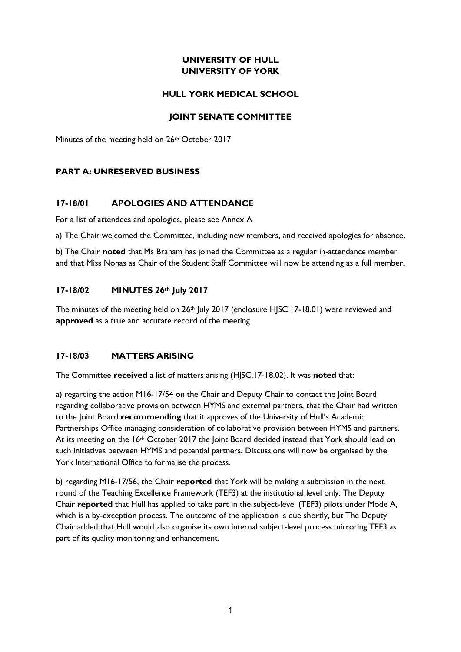## **UNIVERSITY OF HULL UNIVERSITY OF YORK**

### **HULL YORK MEDICAL SCHOOL**

## **JOINT SENATE COMMITTEE**

Minutes of the meeting held on 26<sup>th</sup> October 2017

## **PART A: UNRESERVED BUSINESS**

### **17-18/01 APOLOGIES AND ATTENDANCE**

For a list of attendees and apologies, please see Annex A

a) The Chair welcomed the Committee, including new members, and received apologies for absence.

b) The Chair **noted** that Ms Braham has joined the Committee as a regular in-attendance member and that Miss Nonas as Chair of the Student Staff Committee will now be attending as a full member.

## **17-18/02 MINUTES 26th July 2017**

The minutes of the meeting held on  $26<sup>th</sup>$  July 2017 (enclosure HJSC.17-18.01) were reviewed and **approved** as a true and accurate record of the meeting

### **17-18/03 MATTERS ARISING**

The Committee **received** a list of matters arising (HJSC.17-18.02). It was **noted** that:

a) regarding the action M16-17/54 on the Chair and Deputy Chair to contact the Joint Board regarding collaborative provision between HYMS and external partners, that the Chair had written to the Joint Board **recommending** that it approves of the University of Hull's Academic Partnerships Office managing consideration of collaborative provision between HYMS and partners. At its meeting on the 16<sup>th</sup> October 2017 the Joint Board decided instead that York should lead on such initiatives between HYMS and potential partners. Discussions will now be organised by the York International Office to formalise the process.

b) regarding M16-17/56, the Chair **reported** that York will be making a submission in the next round of the Teaching Excellence Framework (TEF3) at the institutional level only. The Deputy Chair **reported** that Hull has applied to take part in the subject-level (TEF3) pilots under Mode A, which is a by-exception process. The outcome of the application is due shortly, but The Deputy Chair added that Hull would also organise its own internal subject-level process mirroring TEF3 as part of its quality monitoring and enhancement.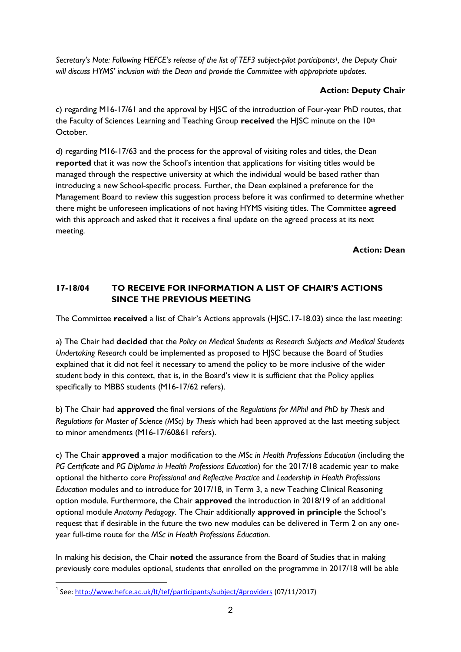*Secretary's Note: Following HEFCE's release of the list of TEF3 subject-pilot participants1, the Deputy Chair will discuss HYMS' inclusion with the Dean and provide the Committee with appropriate updates.*

# **Action: Deputy Chair**

c) regarding M16-17/61 and the approval by HJSC of the introduction of Four-year PhD routes, that the Faculty of Sciences Learning and Teaching Group **received** the HJSC minute on the 10th October.

d) regarding M16-17/63 and the process for the approval of visiting roles and titles, the Dean **reported** that it was now the School's intention that applications for visiting titles would be managed through the respective university at which the individual would be based rather than introducing a new School-specific process. Further, the Dean explained a preference for the Management Board to review this suggestion process before it was confirmed to determine whether there might be unforeseen implications of not having HYMS visiting titles. The Committee **agreed**  with this approach and asked that it receives a final update on the agreed process at its next meeting.

**Action: Dean**

# **17-18/04 TO RECEIVE FOR INFORMATION A LIST OF CHAIR'S ACTIONS SINCE THE PREVIOUS MEETING**

The Committee **received** a list of Chair's Actions approvals (HJSC.17-18.03) since the last meeting:

a) The Chair had **decided** that the *Policy on Medical Students as Research Subjects and Medical Students Undertaking Research* could be implemented as proposed to HJSC because the Board of Studies explained that it did not feel it necessary to amend the policy to be more inclusive of the wider student body in this context, that is, in the Board's view it is sufficient that the Policy applies specifically to MBBS students (M16-17/62 refers).

b) The Chair had **approved** the final versions of the *Regulations for MPhil and PhD by Thesis* and *Regulations for Master of Science (MSc) by Thesis* which had been approved at the last meeting subject to minor amendments (M16-17/60&61 refers).

c) The Chair **approved** a major modification to the *MSc in Health Professions Education* (including the *PG Certificate* and *PG Diploma in Health Professions Education*) for the 2017/18 academic year to make optional the hitherto core *Professional and Reflective Practice* and *Leadership in Health Professions Education* modules and to introduce for 2017/18, in Term 3, a new Teaching Clinical Reasoning option module. Furthermore, the Chair **approved** the introduction in 2018/19 of an additional optional module *Anatomy Pedagogy*. The Chair additionally **approved in principle** the School's request that if desirable in the future the two new modules can be delivered in Term 2 on any oneyear full-time route for the *MSc in Health Professions Education*.

In making his decision, the Chair **noted** the assurance from the Board of Studies that in making previously core modules optional, students that enrolled on the programme in 2017/18 will be able

**.** 

<sup>&</sup>lt;sup>1</sup> See:<http://www.hefce.ac.uk/lt/tef/participants/subject/#providers> (07/11/2017)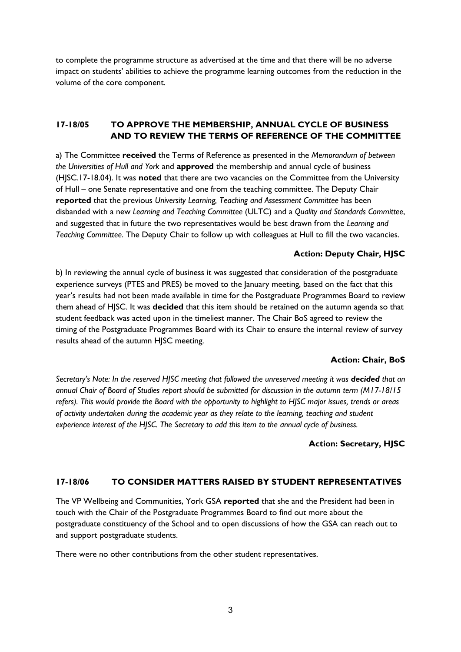to complete the programme structure as advertised at the time and that there will be no adverse impact on students' abilities to achieve the programme learning outcomes from the reduction in the volume of the core component.

## **17-18/05 TO APPROVE THE MEMBERSHIP, ANNUAL CYCLE OF BUSINESS AND TO REVIEW THE TERMS OF REFERENCE OF THE COMMITTEE**

a) The Committee **received** the Terms of Reference as presented in the *Memorandum of between the Universities of Hull and York* and **approved** the membership and annual cycle of business (HJSC.17-18.04). It was **noted** that there are two vacancies on the Committee from the University of Hull – one Senate representative and one from the teaching committee. The Deputy Chair **reported** that the previous *University Learning, Teaching and Assessment Committee* has been disbanded with a new *Learning and Teaching Committee* (ULTC) and a *Quality and Standards Committee*, and suggested that in future the two representatives would be best drawn from the *Learning and Teaching Committee*. The Deputy Chair to follow up with colleagues at Hull to fill the two vacancies.

## **Action: Deputy Chair, HJSC**

b) In reviewing the annual cycle of business it was suggested that consideration of the postgraduate experience surveys (PTES and PRES) be moved to the January meeting, based on the fact that this year's results had not been made available in time for the Postgraduate Programmes Board to review them ahead of HJSC. It was **decided** that this item should be retained on the autumn agenda so that student feedback was acted upon in the timeliest manner. The Chair BoS agreed to review the timing of the Postgraduate Programmes Board with its Chair to ensure the internal review of survey results ahead of the autumn HJSC meeting.

### **Action: Chair, BoS**

*Secretary's Note: In the reserved HJSC meeting that followed the unreserved meeting it was decided that an annual Chair of Board of Studies report should be submitted for discussion in the autumn term (M17-18/15 refers). This would provide the Board with the opportunity to highlight to HJSC major issues, trends or areas of activity undertaken during the academic year as they relate to the learning, teaching and student experience interest of the HJSC. The Secretary to add this item to the annual cycle of business.*

### **Action: Secretary, HJSC**

### **17-18/06 TO CONSIDER MATTERS RAISED BY STUDENT REPRESENTATIVES**

The VP Wellbeing and Communities, York GSA **reported** that she and the President had been in touch with the Chair of the Postgraduate Programmes Board to find out more about the postgraduate constituency of the School and to open discussions of how the GSA can reach out to and support postgraduate students.

There were no other contributions from the other student representatives.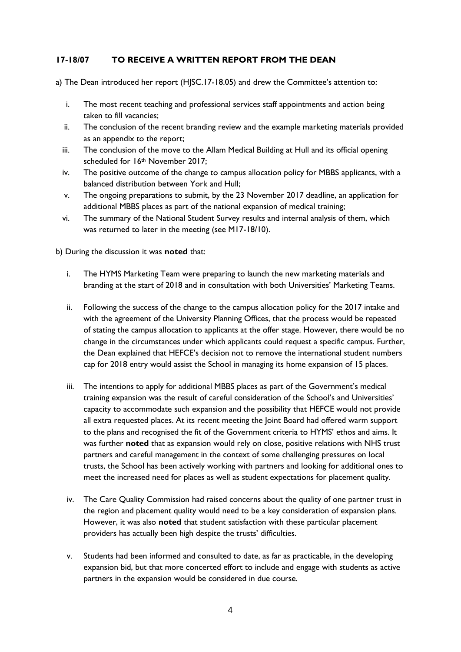## **17-18/07 TO RECEIVE A WRITTEN REPORT FROM THE DEAN**

- a) The Dean introduced her report (HJSC.17-18.05) and drew the Committee's attention to:
	- i. The most recent teaching and professional services staff appointments and action being taken to fill vacancies;
	- ii. The conclusion of the recent branding review and the example marketing materials provided as an appendix to the report;
	- iii. The conclusion of the move to the Allam Medical Building at Hull and its official opening scheduled for 16<sup>th</sup> November 2017;
	- iv. The positive outcome of the change to campus allocation policy for MBBS applicants, with a balanced distribution between York and Hull;
	- v. The ongoing preparations to submit, by the 23 November 2017 deadline, an application for additional MBBS places as part of the national expansion of medical training;
	- vi. The summary of the National Student Survey results and internal analysis of them, which was returned to later in the meeting (see M17-18/10).

b) During the discussion it was **noted** that:

- i. The HYMS Marketing Team were preparing to launch the new marketing materials and branding at the start of 2018 and in consultation with both Universities' Marketing Teams.
- ii. Following the success of the change to the campus allocation policy for the 2017 intake and with the agreement of the University Planning Offices, that the process would be repeated of stating the campus allocation to applicants at the offer stage. However, there would be no change in the circumstances under which applicants could request a specific campus. Further, the Dean explained that HEFCE's decision not to remove the international student numbers cap for 2018 entry would assist the School in managing its home expansion of 15 places.
- iii. The intentions to apply for additional MBBS places as part of the Government's medical training expansion was the result of careful consideration of the School's and Universities' capacity to accommodate such expansion and the possibility that HEFCE would not provide all extra requested places. At its recent meeting the Joint Board had offered warm support to the plans and recognised the fit of the Government criteria to HYMS' ethos and aims. It was further **noted** that as expansion would rely on close, positive relations with NHS trust partners and careful management in the context of some challenging pressures on local trusts, the School has been actively working with partners and looking for additional ones to meet the increased need for places as well as student expectations for placement quality.
- iv. The Care Quality Commission had raised concerns about the quality of one partner trust in the region and placement quality would need to be a key consideration of expansion plans. However, it was also **noted** that student satisfaction with these particular placement providers has actually been high despite the trusts' difficulties.
- v. Students had been informed and consulted to date, as far as practicable, in the developing expansion bid, but that more concerted effort to include and engage with students as active partners in the expansion would be considered in due course.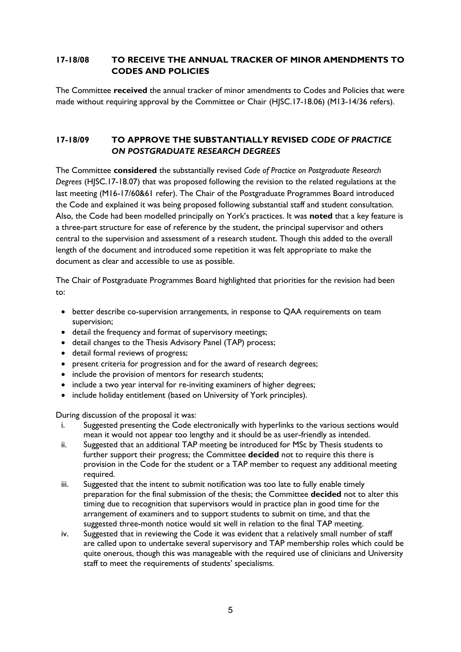## **17-18/08 TO RECEIVE THE ANNUAL TRACKER OF MINOR AMENDMENTS TO CODES AND POLICIES**

The Committee **received** the annual tracker of minor amendments to Codes and Policies that were made without requiring approval by the Committee or Chair (HJSC.17-18.06) (M13-14/36 refers).

## **17-18/09 TO APPROVE THE SUBSTANTIALLY REVISED** *CODE OF PRACTICE ON POSTGRADUATE RESEARCH DEGREES*

The Committee **considered** the substantially revised *Code of Practice on Postgraduate Research Degrees* (HJSC.17-18.07) that was proposed following the revision to the related regulations at the last meeting (M16-17/60&61 refer). The Chair of the Postgraduate Programmes Board introduced the Code and explained it was being proposed following substantial staff and student consultation. Also, the Code had been modelled principally on York's practices. It was **noted** that a key feature is a three-part structure for ease of reference by the student, the principal supervisor and others central to the supervision and assessment of a research student. Though this added to the overall length of the document and introduced some repetition it was felt appropriate to make the document as clear and accessible to use as possible.

The Chair of Postgraduate Programmes Board highlighted that priorities for the revision had been to:

- better describe co-supervision arrangements, in response to QAA requirements on team supervision;
- detail the frequency and format of supervisory meetings;
- detail changes to the Thesis Advisory Panel (TAP) process;
- detail formal reviews of progress;
- present criteria for progression and for the award of research degrees;
- include the provision of mentors for research students;
- include a two year interval for re-inviting examiners of higher degrees;
- include holiday entitlement (based on University of York principles).

During discussion of the proposal it was:

- i. Suggested presenting the Code electronically with hyperlinks to the various sections would mean it would not appear too lengthy and it should be as user-friendly as intended.
- ii. Suggested that an additional TAP meeting be introduced for MSc by Thesis students to further support their progress; the Committee **decided** not to require this there is provision in the Code for the student or a TAP member to request any additional meeting required.
- iii. Suggested that the intent to submit notification was too late to fully enable timely preparation for the final submission of the thesis; the Committee **decided** not to alter this timing due to recognition that supervisors would in practice plan in good time for the arrangement of examiners and to support students to submit on time, and that the suggested three-month notice would sit well in relation to the final TAP meeting.
- iv. Suggested that in reviewing the Code it was evident that a relatively small number of staff are called upon to undertake several supervisory and TAP membership roles which could be quite onerous, though this was manageable with the required use of clinicians and University staff to meet the requirements of students' specialisms.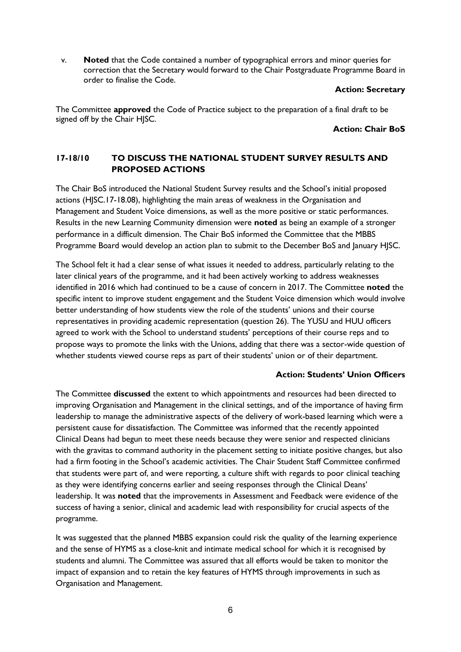v. **Noted** that the Code contained a number of typographical errors and minor queries for correction that the Secretary would forward to the Chair Postgraduate Programme Board in order to finalise the Code.

#### **Action: Secretary**

The Committee **approved** the Code of Practice subject to the preparation of a final draft to be signed off by the Chair HJSC.

#### **Action: Chair BoS**

# **17-18/10 TO DISCUSS THE NATIONAL STUDENT SURVEY RESULTS AND PROPOSED ACTIONS**

The Chair BoS introduced the National Student Survey results and the School's initial proposed actions (HJSC.17-18.08), highlighting the main areas of weakness in the Organisation and Management and Student Voice dimensions, as well as the more positive or static performances. Results in the new Learning Community dimension were **noted** as being an example of a stronger performance in a difficult dimension. The Chair BoS informed the Committee that the MBBS Programme Board would develop an action plan to submit to the December BoS and January HJSC.

The School felt it had a clear sense of what issues it needed to address, particularly relating to the later clinical years of the programme, and it had been actively working to address weaknesses identified in 2016 which had continued to be a cause of concern in 2017. The Committee **noted** the specific intent to improve student engagement and the Student Voice dimension which would involve better understanding of how students view the role of the students' unions and their course representatives in providing academic representation (question 26). The YUSU and HUU officers agreed to work with the School to understand students' perceptions of their course reps and to propose ways to promote the links with the Unions, adding that there was a sector-wide question of whether students viewed course reps as part of their students' union or of their department.

### **Action: Students' Union Officers**

The Committee **discussed** the extent to which appointments and resources had been directed to improving Organisation and Management in the clinical settings, and of the importance of having firm leadership to manage the administrative aspects of the delivery of work-based learning which were a persistent cause for dissatisfaction. The Committee was informed that the recently appointed Clinical Deans had begun to meet these needs because they were senior and respected clinicians with the gravitas to command authority in the placement setting to initiate positive changes, but also had a firm footing in the School's academic activities. The Chair Student Staff Committee confirmed that students were part of, and were reporting, a culture shift with regards to poor clinical teaching as they were identifying concerns earlier and seeing responses through the Clinical Deans' leadership. It was **noted** that the improvements in Assessment and Feedback were evidence of the success of having a senior, clinical and academic lead with responsibility for crucial aspects of the programme.

It was suggested that the planned MBBS expansion could risk the quality of the learning experience and the sense of HYMS as a close-knit and intimate medical school for which it is recognised by students and alumni. The Committee was assured that all efforts would be taken to monitor the impact of expansion and to retain the key features of HYMS through improvements in such as Organisation and Management.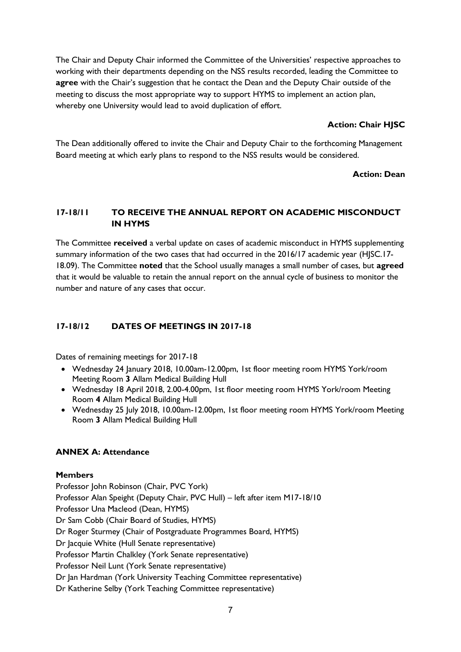The Chair and Deputy Chair informed the Committee of the Universities' respective approaches to working with their departments depending on the NSS results recorded, leading the Committee to **agree** with the Chair's suggestion that he contact the Dean and the Deputy Chair outside of the meeting to discuss the most appropriate way to support HYMS to implement an action plan, whereby one University would lead to avoid duplication of effort.

### **Action: Chair HJSC**

The Dean additionally offered to invite the Chair and Deputy Chair to the forthcoming Management Board meeting at which early plans to respond to the NSS results would be considered.

## **Action: Dean**

## **17-18/11 TO RECEIVE THE ANNUAL REPORT ON ACADEMIC MISCONDUCT IN HYMS**

The Committee **received** a verbal update on cases of academic misconduct in HYMS supplementing summary information of the two cases that had occurred in the 2016/17 academic year (HJSC.17- 18.09). The Committee **noted** that the School usually manages a small number of cases, but **agreed**  that it would be valuable to retain the annual report on the annual cycle of business to monitor the number and nature of any cases that occur.

## **17-18/12 DATES OF MEETINGS IN 2017-18**

Dates of remaining meetings for 2017-18

- Wednesday 24 January 2018, 10.00am-12.00pm, 1st floor meeting room HYMS York/room Meeting Room **3** Allam Medical Building Hull
- Wednesday 18 April 2018, 2.00-4.00pm, 1st floor meeting room HYMS York/room Meeting Room **4** Allam Medical Building Hull
- Wednesday 25 July 2018, 10.00am-12.00pm, 1st floor meeting room HYMS York/room Meeting Room **3** Allam Medical Building Hull

### **ANNEX A: Attendance**

### **Members**

Professor John Robinson (Chair, PVC York) Professor Alan Speight (Deputy Chair, PVC Hull) – left after item M17-18/10 Professor Una Macleod (Dean, HYMS) Dr Sam Cobb (Chair Board of Studies, HYMS) Dr Roger Sturmey (Chair of Postgraduate Programmes Board, HYMS) Dr Jacquie White (Hull Senate representative) Professor Martin Chalkley (York Senate representative) Professor Neil Lunt (York Senate representative) Dr Jan Hardman (York University Teaching Committee representative) Dr Katherine Selby (York Teaching Committee representative)